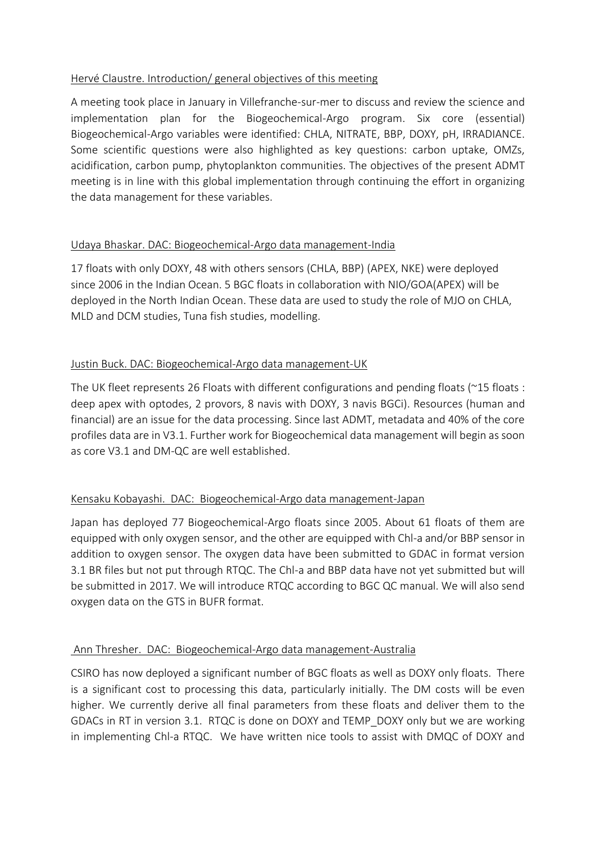# Hervé Claustre. Introduction/ general objectives of this meeting

A meeting took place in January in Villefranche-sur-mer to discuss and review the science and implementation plan for the Biogeochemical-Argo program. Six core (essential) Biogeochemical-Argo variables were identified: CHLA, NITRATE, BBP, DOXY, pH, IRRADIANCE. Some scientific questions were also highlighted as key questions: carbon uptake, OMZs, acidification, carbon pump, phytoplankton communities. The objectives of the present ADMT meeting is in line with this global implementation through continuing the effort in organizing the data management for these variables.

### Udaya Bhaskar. DAC: Biogeochemical-Argo data management-India

17 floats with only DOXY, 48 with others sensors (CHLA, BBP) (APEX, NKE) were deployed since 2006 in the Indian Ocean. 5 BGC floats in collaboration with NIO/GOA(APEX) will be deployed in the North Indian Ocean. These data are used to study the role of MJO on CHLA, MLD and DCM studies, Tuna fish studies, modelling.

# Justin Buck. DAC: Biogeochemical-Argo data management-UK

The UK fleet represents 26 Floats with different configurations and pending floats (~15 floats : deep apex with optodes, 2 provors, 8 navis with DOXY, 3 navis BGCi). Resources (human and financial) are an issue for the data processing. Since last ADMT, metadata and 40% of the core profiles data are in V3.1. Further work for Biogeochemical data management will begin as soon as core V3.1 and DM-QC are well established.

# Kensaku Kobayashi. DAC: Biogeochemical-Argo data management-Japan

Japan has deployed 77 Biogeochemical-Argo floats since 2005. About 61 floats of them are equipped with only oxygen sensor, and the other are equipped with Chl-a and/or BBP sensor in addition to oxygen sensor. The oxygen data have been submitted to GDAC in format version 3.1 BR files but not put through RTQC. The Chl-a and BBP data have not yet submitted but will be submitted in 2017. We will introduce RTQC according to BGC QC manual. We will also send oxygen data on the GTS in BUFR format.

### Ann Thresher. DAC: Biogeochemical-Argo data management-Australia

CSIRO has now deployed a significant number of BGC floats as well as DOXY only floats. There is a significant cost to processing this data, particularly initially. The DM costs will be even higher. We currently derive all final parameters from these floats and deliver them to the GDACs in RT in version 3.1. RTQC is done on DOXY and TEMP\_DOXY only but we are working in implementing Chl-a RTQC. We have written nice tools to assist with DMQC of DOXY and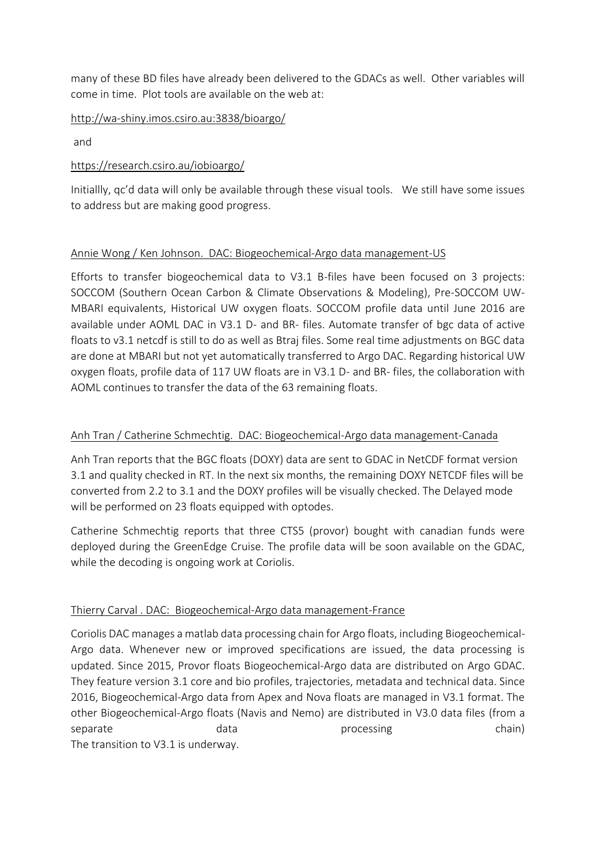many of these BD files have already been delivered to the GDACs as well. Other variables will come in time. Plot tools are available on the web at:

<http://wa-shiny.imos.csiro.au:3838/bioargo/>

and

# <https://research.csiro.au/iobioargo/>

Initiallly, qc'd data will only be available through these visual tools. We still have some issues to address but are making good progress.

# Annie Wong / Ken Johnson. DAC: Biogeochemical-Argo data management-US

Efforts to transfer biogeochemical data to V3.1 B-files have been focused on 3 projects: SOCCOM (Southern Ocean Carbon & Climate Observations & Modeling), Pre-SOCCOM UW-MBARI equivalents, Historical UW oxygen floats. SOCCOM profile data until June 2016 are available under AOML DAC in V3.1 D- and BR- files. Automate transfer of bgc data of active floats to v3.1 netcdf is still to do as well as Btraj files. Some real time adjustments on BGC data are done at MBARI but not yet automatically transferred to Argo DAC. Regarding historical UW oxygen floats, profile data of 117 UW floats are in V3.1 D- and BR- files, the collaboration with AOML continues to transfer the data of the 63 remaining floats.

# Anh Tran / Catherine Schmechtig. DAC: Biogeochemical-Argo data management-Canada

Anh Tran reports that the BGC floats (DOXY) data are sent to GDAC in NetCDF format version 3.1 and quality checked in RT. In the next six months, the remaining DOXY NETCDF files will be converted from 2.2 to 3.1 and the DOXY profiles will be visually checked. The Delayed mode will be performed on 23 floats equipped with optodes.

Catherine Schmechtig reports that three CTS5 (provor) bought with canadian funds were deployed during the GreenEdge Cruise. The profile data will be soon available on the GDAC, while the decoding is ongoing work at Coriolis.

### Thierry Carval . DAC: Biogeochemical-Argo data management-France

Coriolis DAC manages a matlab data processing chain for Argo floats, including Biogeochemical-Argo data. Whenever new or improved specifications are issued, the data processing is updated. Since 2015, Provor floats Biogeochemical-Argo data are distributed on Argo GDAC. They feature version 3.1 core and bio profiles, trajectories, metadata and technical data. Since 2016, Biogeochemical-Argo data from Apex and Nova floats are managed in V3.1 format. The other Biogeochemical-Argo floats (Navis and Nemo) are distributed in V3.0 data files (from a separate and data processing chain) The transition to V3.1 is underway.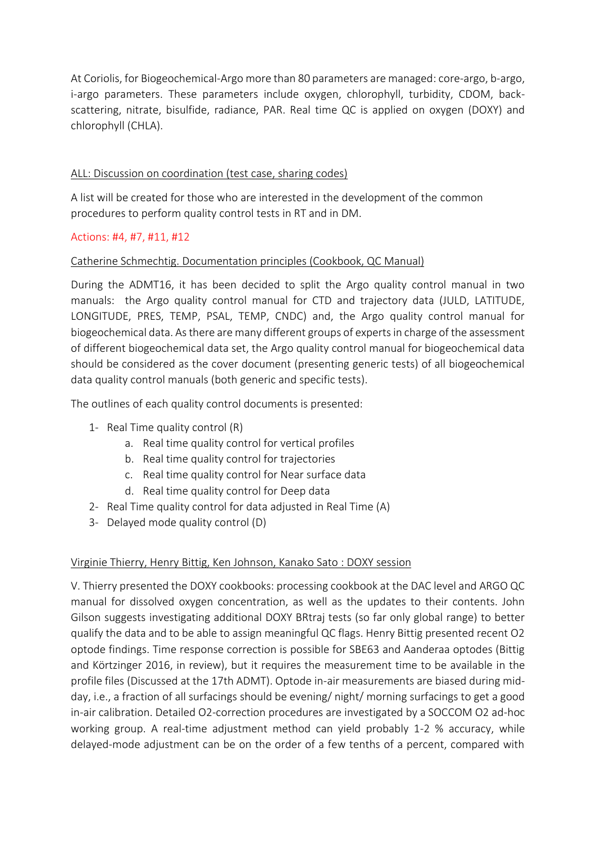At Coriolis, for Biogeochemical-Argo more than 80 parameters are managed: core-argo, b-argo, i-argo parameters. These parameters include oxygen, chlorophyll, turbidity, CDOM, backscattering, nitrate, bisulfide, radiance, PAR. Real time QC is applied on oxygen (DOXY) and chlorophyll (CHLA).

# ALL: Discussion on coordination (test case, sharing codes)

A list will be created for those who are interested in the development of the common procedures to perform quality control tests in RT and in DM.

### Actions: #4, #7, #11, #12

# Catherine Schmechtig. Documentation principles (Cookbook, QC Manual)

During the ADMT16, it has been decided to split the Argo quality control manual in two manuals: the Argo quality control manual for CTD and trajectory data (JULD, LATITUDE, LONGITUDE, PRES, TEMP, PSAL, TEMP, CNDC) and, the Argo quality control manual for biogeochemical data. As there are many different groups of experts in charge of the assessment of different biogeochemical data set, the Argo quality control manual for biogeochemical data should be considered as the cover document (presenting generic tests) of all biogeochemical data quality control manuals (both generic and specific tests).

The outlines of each quality control documents is presented:

- 1- Real Time quality control (R)
	- a. Real time quality control for vertical profiles
	- b. Real time quality control for trajectories
	- c. Real time quality control for Near surface data
	- d. Real time quality control for Deep data
- 2- Real Time quality control for data adjusted in Real Time (A)
- 3- Delayed mode quality control (D)

### Virginie Thierry, Henry Bittig, Ken Johnson, Kanako Sato : DOXY session

V. Thierry presented the DOXY cookbooks: processing cookbook at the DAC level and ARGO QC manual for dissolved oxygen concentration, as well as the updates to their contents. John Gilson suggests investigating additional DOXY BRtraj tests (so far only global range) to better qualify the data and to be able to assign meaningful QC flags. Henry Bittig presented recent O2 optode findings. Time response correction is possible for SBE63 and Aanderaa optodes (Bittig and Körtzinger 2016, in review), but it requires the measurement time to be available in the profile files (Discussed at the 17th ADMT). Optode in-air measurements are biased during midday, i.e., a fraction of all surfacings should be evening/ night/ morning surfacings to get a good in-air calibration. Detailed O2-correction procedures are investigated by a SOCCOM O2 ad-hoc working group. A real-time adjustment method can yield probably 1-2 % accuracy, while delayed-mode adjustment can be on the order of a few tenths of a percent, compared with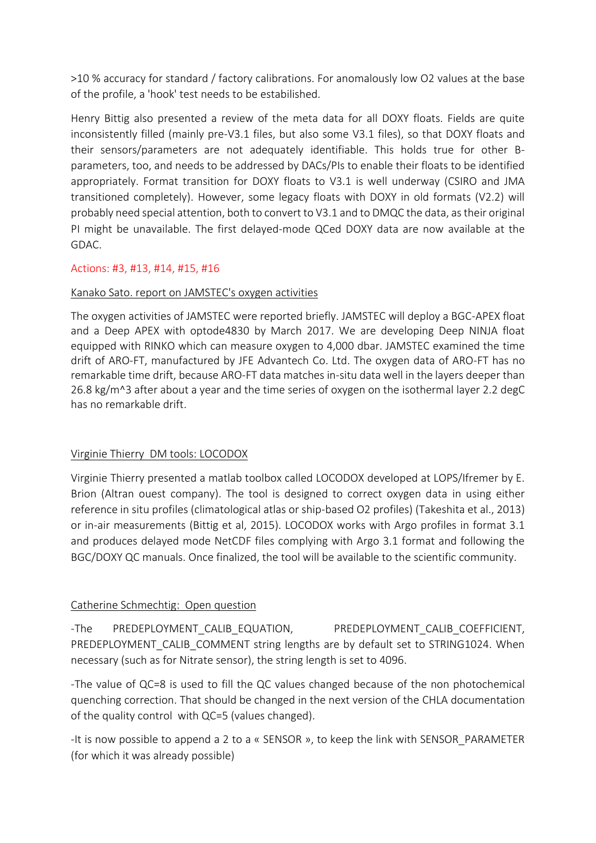>10 % accuracy for standard / factory calibrations. For anomalously low O2 values at the base of the profile, a 'hook' test needs to be estabilished.

Henry Bittig also presented a review of the meta data for all DOXY floats. Fields are quite inconsistently filled (mainly pre-V3.1 files, but also some V3.1 files), so that DOXY floats and their sensors/parameters are not adequately identifiable. This holds true for other Bparameters, too, and needs to be addressed by DACs/PIs to enable their floats to be identified appropriately. Format transition for DOXY floats to V3.1 is well underway (CSIRO and JMA transitioned completely). However, some legacy floats with DOXY in old formats (V2.2) will probably need special attention, both to convert to V3.1 and to DMQC the data, as their original PI might be unavailable. The first delayed-mode QCed DOXY data are now available at the GDAC.

# Actions: #3, #13, #14, #15, #16

### Kanako Sato. report on JAMSTEC's oxygen activities

The oxygen activities of JAMSTEC were reported briefly. JAMSTEC will deploy a BGC-APEX float and a Deep APEX with optode4830 by March 2017. We are developing Deep NINJA float equipped with RINKO which can measure oxygen to 4,000 dbar. JAMSTEC examined the time drift of ARO-FT, manufactured by JFE Advantech Co. Ltd. The oxygen data of ARO-FT has no remarkable time drift, because ARO-FT data matches in-situ data well in the layers deeper than 26.8 kg/m^3 after about a year and the time series of oxygen on the isothermal layer 2.2 degC has no remarkable drift.

### Virginie Thierry DM tools: LOCODOX

Virginie Thierry presented a matlab toolbox called LOCODOX developed at LOPS/Ifremer by E. Brion (Altran ouest company). The tool is designed to correct oxygen data in using either reference in situ profiles (climatological atlas or ship-based O2 profiles) (Takeshita et al., 2013) or in-air measurements (Bittig et al, 2015). LOCODOX works with Argo profiles in format 3.1 and produces delayed mode NetCDF files complying with Argo 3.1 format and following the BGC/DOXY QC manuals. Once finalized, the tool will be available to the scientific community.

### Catherine Schmechtig: Open question

-The PREDEPLOYMENT\_CALIB\_EQUATION, PREDEPLOYMENT\_CALIB\_COEFFICIENT, PREDEPLOYMENT\_CALIB\_COMMENT string lengths are by default set to STRING1024. When necessary (such as for Nitrate sensor), the string length is set to 4096.

-The value of QC=8 is used to fill the QC values changed because of the non photochemical quenching correction. That should be changed in the next version of the CHLA documentation of the quality control with QC=5 (values changed).

-It is now possible to append a 2 to a « SENSOR », to keep the link with SENSOR\_PARAMETER (for which it was already possible)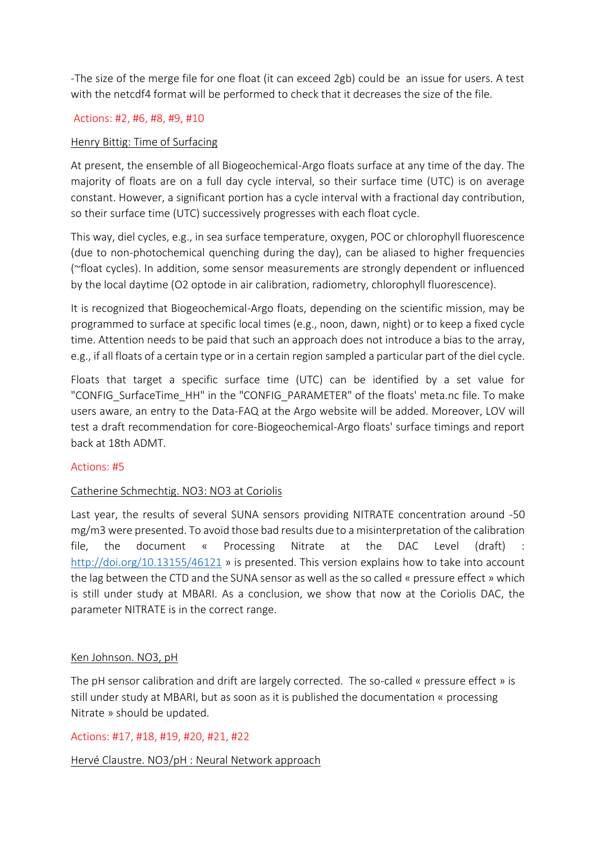-The size of the merge file for one float (it can exceed 2gb) could be an issue for users. A test with the netcdf4 format will be performed to check that it decreases the size of the file.

#### Actions: #2, #6, #8, #9, #10

#### Henry Bittig: Time of Surfacing

At present, the ensemble of all Biogeochemical-Argo floats surface at any time of the day. The majority of floats are on a full day cycle interval, so their surface time (UTC) is on average constant. However, a significant portion has a cycle interval with a fractional day contribution, so their surface time (UTC) successively progresses with each float cycle.

This way, diel cycles, e.g., in sea surface temperature, oxygen, POC or chlorophyll fluorescence (due to non-photochemical quenching during the day), can be aliased to higher frequencies (~float cycles). In addition, some sensor measurements are strongly dependent or influenced by the local daytime (O2 optode in air calibration, radiometry, chlorophyll fluorescence).

It is recognized that Biogeochemical-Argo floats, depending on the scientific mission, may be programmed to surface at specific local times (e.g., noon, dawn, night) or to keep a fixed cycle time. Attention needs to be paid that such an approach does not introduce a bias to the array, e.g., if all floats of a certain type or in a certain region sampled a particular part of the diel cycle.

Floats that target a specific surface time (UTC) can be identified by a set value for "CONFIG SurfaceTime HH" in the "CONFIG PARAMETER" of the floats' meta.nc file. To make users aware, an entry to the Data-FAQ at the Argo website will be added. Moreover, LOV will test a draft recommendation for core-Biogeochemical-Argo floats' surface timings and report back at 18th ADMT.

### Actions: #5

### Catherine Schmechtig. NO3: NO3 at Coriolis

Last year, the results of several SUNA sensors providing NITRATE concentration around -50 mg/m3 were presented. To avoid those bad results due to a misinterpretation of the calibration file, the document « Processing Nitrate at the DAC Level (draft) : <http://doi.org/10.13155/46121> » is presented. This version explains how to take into account the lag between the CTD and the SUNA sensor as well as the so called « pressure effect » which is still under study at MBARI. As a conclusion, we show that now at the Coriolis DAC, the parameter NITRATE is in the correct range.

#### Ken Johnson. NO3, pH

The pH sensor calibration and drift are largely corrected. The so-called « pressure effect » is still under study at MBARI, but as soon as it is published the documentation « processing Nitrate » should be updated.

#### Actions: #17, #18, #19, #20, #21, #22

### Hervé Claustre. NO3/pH : Neural Network approach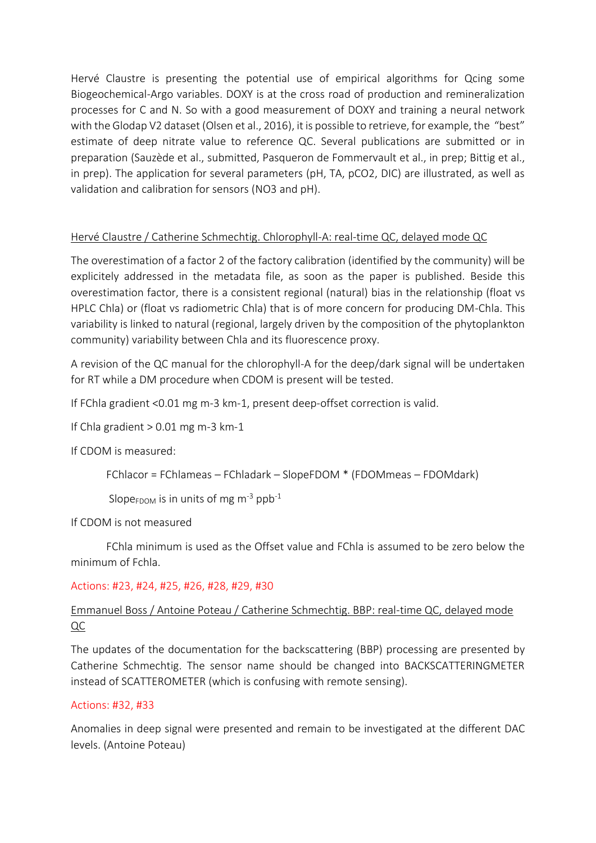Hervé Claustre is presenting the potential use of empirical algorithms for Qcing some Biogeochemical-Argo variables. DOXY is at the cross road of production and remineralization processes for C and N. So with a good measurement of DOXY and training a neural network with the Glodap V2 dataset (Olsen et al., 2016), it is possible to retrieve, for example, the "best" estimate of deep nitrate value to reference QC. Several publications are submitted or in preparation (Sauzède et al., submitted, Pasqueron de Fommervault et al., in prep; Bittig et al., in prep). The application for several parameters (pH, TA, pCO2, DIC) are illustrated, as well as validation and calibration for sensors (NO3 and pH).

# Hervé Claustre / Catherine Schmechtig. Chlorophyll-A: real-time QC, delayed mode QC

The overestimation of a factor 2 of the factory calibration (identified by the community) will be explicitely addressed in the metadata file, as soon as the paper is published. Beside this overestimation factor, there is a consistent regional (natural) bias in the relationship (float vs HPLC Chla) or (float vs radiometric Chla) that is of more concern for producing DM-Chla. This variability is linked to natural (regional, largely driven by the composition of the phytoplankton community) variability between Chla and its fluorescence proxy.

A revision of the QC manual for the chlorophyll-A for the deep/dark signal will be undertaken for RT while a DM procedure when CDOM is present will be tested.

If FChla gradient <0.01 mg m-3 km-1, present deep-offset correction is valid.

If Chla gradient  $> 0.01$  mg m-3 km-1

If CDOM is measured:

FChlacor = FChlameas – FChladark – SlopeFDOM \* (FDOMmeas – FDOMdark)

Slope $F_{\text{DOM}}$  is in units of mg m<sup>-3</sup> ppb<sup>-1</sup>

If CDOM is not measured

FChla minimum is used as the Offset value and FChla is assumed to be zero below the minimum of Fchla.

### Actions: #23, #24, #25, #26, #28, #29, #30

# Emmanuel Boss / Antoine Poteau / Catherine Schmechtig. BBP: real-time QC, delayed mode  $QC$

The updates of the documentation for the backscattering (BBP) processing are presented by Catherine Schmechtig. The sensor name should be changed into BACKSCATTERINGMETER instead of SCATTEROMETER (which is confusing with remote sensing).

### Actions: #32, #33

Anomalies in deep signal were presented and remain to be investigated at the different DAC levels. (Antoine Poteau)